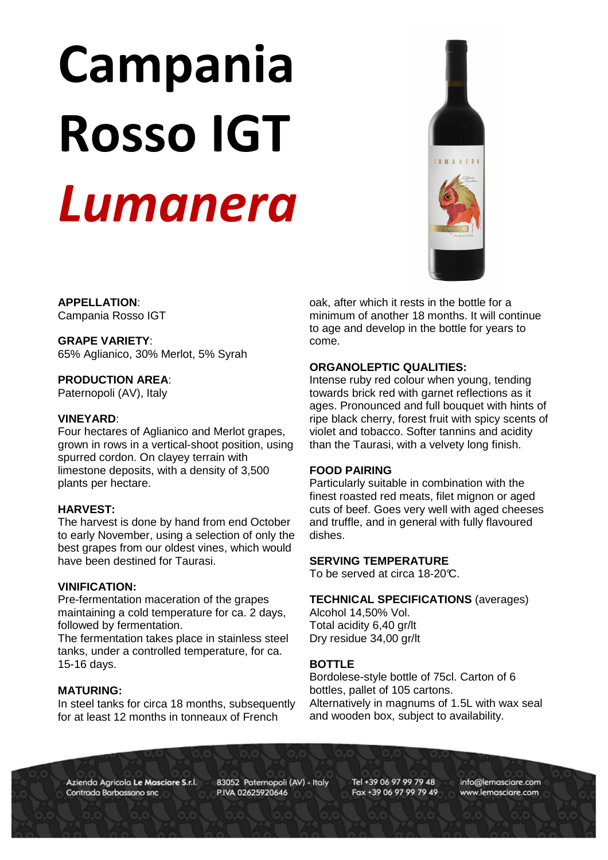# Campania Rosso IGT Lumanera



**APPELLATION**: Campania Rosso IGT

# **GRAPE VARIETY**:

65% Aglianico, 30% Merlot, 5% Syrah

# **PRODUCTION AREA**:

Paternopoli (AV), Italy

# **VINEYARD**:

Four hectares of Aglianico and Merlot grapes, grown in rows in a vertical-shoot position, using spurred cordon. On clayey terrain with limestone deposits, with a density of 3,500 plants per hectare.

# **HARVEST:**

The harvest is done by hand from end October to early November, using a selection of only the best grapes from our oldest vines, which would have been destined for Taurasi.

### **VINIFICATION:**

Pre-fermentation maceration of the grapes maintaining a cold temperature for ca. 2 days, followed by fermentation.

The fermentation takes place in stainless steel tanks, under a controlled temperature, for ca. 15-16 days.

### **MATURING:**

In steel tanks for circa 18 months, subsequently for at least 12 months in tonneaux of French

 $\overline{a}$ oak, after which it rests in the bottle for a minimum of another 18 months. It will continue to age and develop in the bottle for years to come.

# **ORGANOLEPTIC QUALITIES:**

Intense ruby red colour when young, tending towards brick red with garnet reflections as it ages. Pronounced and full bouquet with hints of ripe black cherry, forest fruit with spicy scents of violet and tobacco. Softer tannins and acidity than the Taurasi, with a velvety long finish.

# **FOOD PAIRING**

Particularly suitable in combination with the finest roasted red meats, filet mignon or aged cuts of beef. Goes very well with aged cheeses and truffle, and in general with fully flavoured dishes.

### **SERVING TEMPERATURE**

To be served at circa 18-20°C.

### **TECHNICAL SPECIFICATIONS** (averages)

Alcohol 14,50% Vol. Total acidity 6,40 gr/lt Dry residue 34,00 gr/lt

# **BOTTLE**

Bordolese-style bottle of 75cl. Carton of 6 bottles, pallet of 105 cartons. Alternatively in magnums of 1.5L with wax seal and wooden box, subject to availability.

Azienda Agricola Le Masciare S.r.l. Contrada Barbassano snc

83052 Paternopoli (AV) - Italy P.IVA 02625920646

Tel +39 06 97 99 79 48 Fax +39 06 97 99 79 49 info@lemasciare.com www.lemasciare.com